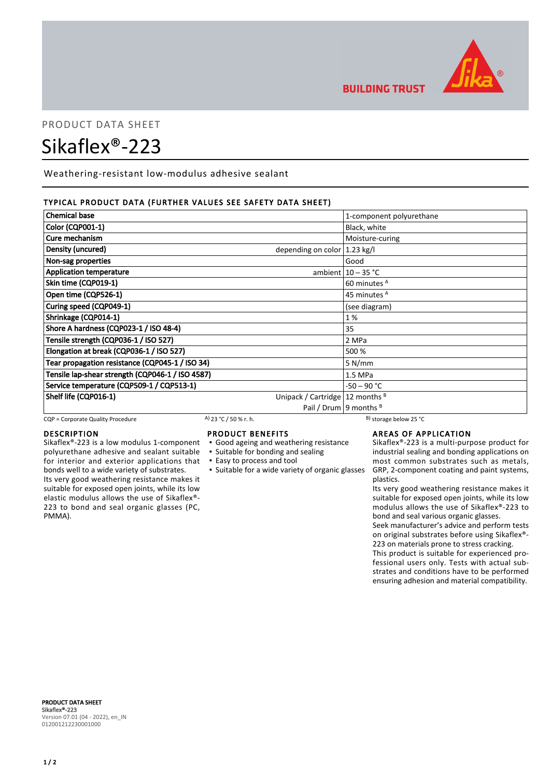

**BUILDING TRUST** 

# PRODUCT DATA SHEET Sikaflex®-223

Weathering-resistant low-modulus adhesive sealant

# TYPICAL PRODUCT DATA (FURTHER VALUES SEE SAFETY DATA SHEET)

| <b>Chemical base</b>                             | 1-component polyurethane                |
|--------------------------------------------------|-----------------------------------------|
| Color (CQP001-1)                                 | Black, white                            |
| Cure mechanism                                   | Moisture-curing                         |
| Density (uncured)                                | depending on color $ 1.23 \text{ kg}/I$ |
| Non-sag properties                               | Good                                    |
| <b>Application temperature</b>                   | ambient $10 - 35$ °C                    |
| Skin time (CQP019-1)                             | 60 minutes <sup>A</sup>                 |
| Open time (CQP526-1)                             | 45 minutes <sup>A</sup>                 |
| Curing speed (CQP049-1)                          | (see diagram)                           |
| Shrinkage (CQP014-1)                             | 1%                                      |
| Shore A hardness (CQP023-1 / ISO 48-4)           | 35                                      |
| Tensile strength (CQP036-1 / ISO 527)            | 2 MPa                                   |
| Elongation at break (CQP036-1 / ISO 527)         | 500 %                                   |
| Tear propagation resistance (CQP045-1 / ISO 34)  | 5 N/mm                                  |
| Tensile lap-shear strength (CQP046-1 / ISO 4587) | 1.5 MPa                                 |
| Service temperature (CQP509-1 / CQP513-1)        | $-50 - 90 °C$                           |
| Shelf life (CQP016-1)                            | Unipack / Cartridge   12 months $B$     |
|                                                  | Pail / Drum   9 months $B$              |

CQP = Corporate Quality Procedure A) 23 °C / 50 % r. h.

# DESCRIPTION

Sikaflex®-223 is a low modulus 1-component polyurethane adhesive and sealant suitable for interior and exterior applications that bonds well to a wide variety of substrates. Its very good weathering resistance makes it suitable for exposed open joints, while its low elastic modulus allows the use of Sikaflex®- 223 to bond and seal organic glasses (PC, PMMA).

# PRODUCT BENEFITS

- Good ageing and weathering resistance
- Suitable for bonding and sealing
- Easy to process and tool
- 

**EXECT:** Suitable for a wide variety of organic glasses

# AREAS OF APPLICATION

Sikaflex®-223 is a multi-purpose product for industrial sealing and bonding applications on most common substrates such as metals, GRP, 2-component coating and paint systems, plastics.

Its very good weathering resistance makes it suitable for exposed open joints, while its low modulus allows the use of Sikaflex®-223 to bond and seal various organic glasses.

Seek manufacturer's advice and perform tests on original substrates before using Sikaflex®- 223 on materials prone to stress cracking.

This product is suitable for experienced professional users only. Tests with actual substrates and conditions have to be performed ensuring adhesion and material compatibility.

PRODUCT DATA SHEET Sikaflex®-223 Version 07.01 (04 - 2022), en\_IN 012001212230001000